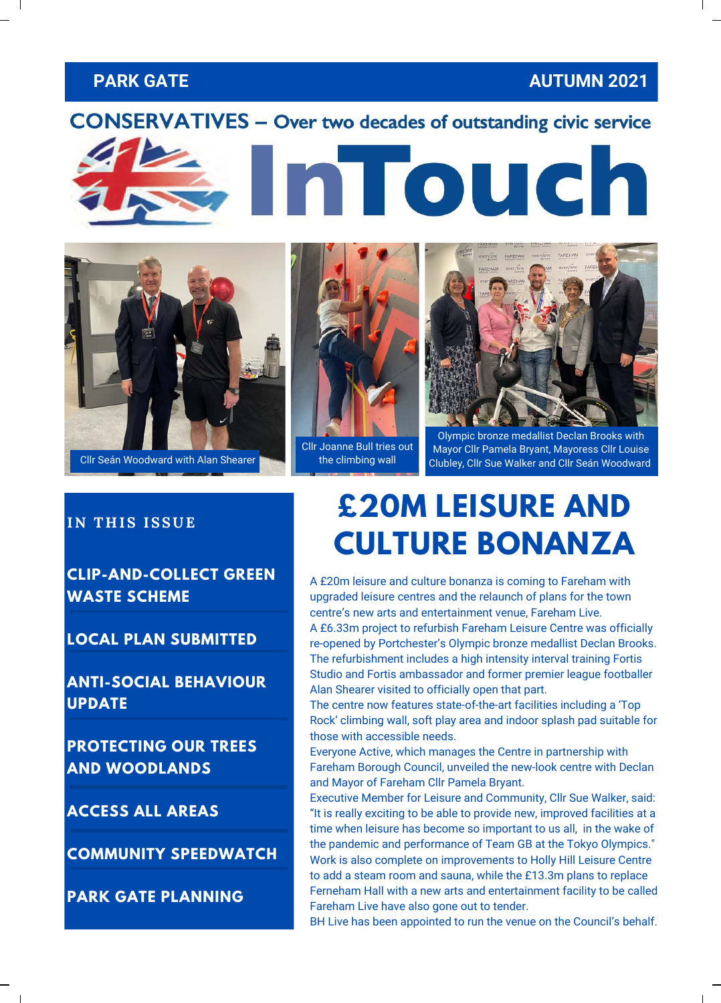#### **PARK GATE AUTUMN 2021**

#### **CONSERVATIVES - Over two decades of outstanding civic service**





Cllr Seán Woodward Cllr Seán Woodward with Alan Shearer

Cllr Joanne Bull tries out the climbing wall



Olympic bronze medallist Declan Brooks with Mayor Cllr Pamela Bryant, Mayoress Cllr Louise Clubley, Cllr Sue Walker and Cllr Seán Woodward

#### **IN THIS ISSUE**

**CLIP-AND-COLLECT GREEN WASTE SCHEME**

**LOCAL PLAN SUBMITTED**

**ANTI-SOCIAL BEHAVIOUR UPDATE**

**PROTECTING OUR TREES AND WOODLANDS**

**ACCESS ALL AREAS**

**COMMUNITY SPEEDWATCH**

**PARK GATE PLANNING**

## **£20M LEISURE AND CULTURE BONANZA**

A £20m leisure and culture bonanza is coming to Fareham with upgraded leisure centres and the relaunch of plans for the town centre's new arts and entertainment venue, Fareham Live. A £6.33m project to refurbish Fareham Leisure Centre was officially re-opened by Portchester's Olympic bronze medallist Declan Brooks. The refurbishment includes a high intensity interval training Fortis Studio and Fortis ambassador and former premier league footballer Alan Shearer visited to officially open that part.

The centre now features state-of-the-art facilities including a 'Top Rock' climbing wall, soft play area and indoor splash pad suitable for those with accessible needs.

Everyone Active, which manages the Centre in partnership with Fareham Borough Council, unveiled the new-look centre with Declan and Mayor of Fareham Cllr Pamela Bryant.

Executive Member for Leisure and Community, Cllr Sue Walker, said: "It is really exciting to be able to provide new, improved facilities at a time when leisure has become so important to us all, in the wake of the pandemic and performance of Team GB at the Tokyo Olympics." Work is also complete on improvements to Holly Hill Leisure Centre to add a steam room and sauna, while the £13.3m plans to replace Ferneham Hall with a new arts and entertainment facility to be called Fareham Live have also gone out to tender.

BH Live has been appointed to run the venue on the Council's behalf.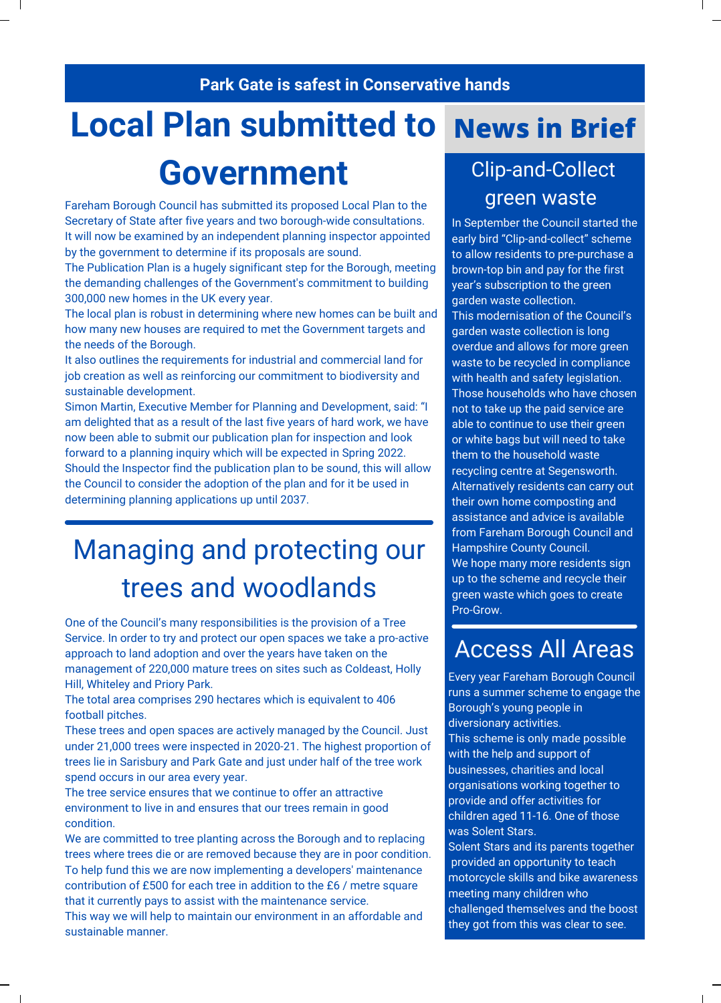#### **Park Gate is safest in Conservative hands**

## **Local Plan submitted to**

## **Government** Clip-and-Collect

Fareham Borough Council has submitted its proposed Local Plan to the Secretary of State after five years and two borough-wide consultations. It will now be examined by an independent planning inspector appointed by the government to determine if its proposals are sound.

The Publication Plan is a hugely significant step for the Borough, meeting the demanding challenges of the Government's commitment to building 300,000 new homes in the UK every year.

The local plan is robust in determining where new homes can be built and how many new houses are required to met the Government targets and the needs of the Borough.

It also outlines the requirements for industrial and commercial land for job creation as well as reinforcing our commitment to biodiversity and sustainable development.

Simon Martin, Executive Member for Planning and Development, said: "I am delighted that as a result of the last five years of hard work, we have now been able to submit our publication plan for inspection and look forward to a planning inquiry which will be expected in Spring 2022. Should the Inspector find the publication plan to be sound, this will allow the Council to consider the adoption of the plan and for it be used in determining planning applications up until 2037.

## Managing and protecting our trees and woodlands

One of the Council's many responsibilities is the provision of a Tree Service. In order to try and protect our open spaces we take a pro-active approach to land adoption and over the years have taken on the management of 220,000 mature trees on sites such as Coldeast, Holly Hill, Whiteley and Priory Park.

The total area comprises 290 hectares which is equivalent to 406 football pitches.

These trees and open spaces are actively managed by the Council. Just under 21,000 trees were inspected in 2020-21. The highest proportion of trees lie in Sarisbury and Park Gate and just under half of the tree work spend occurs in our area every year.

The tree service ensures that we continue to offer an attractive environment to live in and ensures that our trees remain in good condition.

We are committed to tree planting across the Borough and to replacing trees where trees die or are removed because they are in poor condition. To help fund this we are now implementing a developers' maintenance contribution of £500 for each tree in addition to the £6 / metre square that it currently pays to assist with the maintenance service.

This way we will help to maintain our environment in an affordable and sustainable manner.

## **News in Brief**

# green waste

In September the Council started the early bird "Clip-and-collect" scheme to allow residents to pre-purchase a brown-top bin and pay for the first year's subscription to the green garden waste collection. This modernisation of the Council's garden waste collection is long overdue and allows for more green waste to be recycled in compliance with health and safety legislation. Those households who have chosen not to take up the paid service are able to continue to use their green or white bags but will need to take them to the household waste recycling centre at Segensworth. Alternatively residents can carry out their own home composting and assistance and advice is available from Fareham Borough Council and Hampshire County Council. We hope many more residents sign up to the scheme and recycle their green waste which goes to create Pro-Grow.

### Access All Areas

Every year Fareham Borough Council runs a summer scheme to engage the Borough's young people in diversionary activities. This scheme is only made possible with the help and support of businesses, charities and local organisations working together to provide and offer activities for children aged 11-16. One of those was Solent Stars.

Solent Stars and its parents together provided an opportunity to teach motorcycle skills and bike awareness meeting many children who challenged themselves and the boost they got from this was clear to see.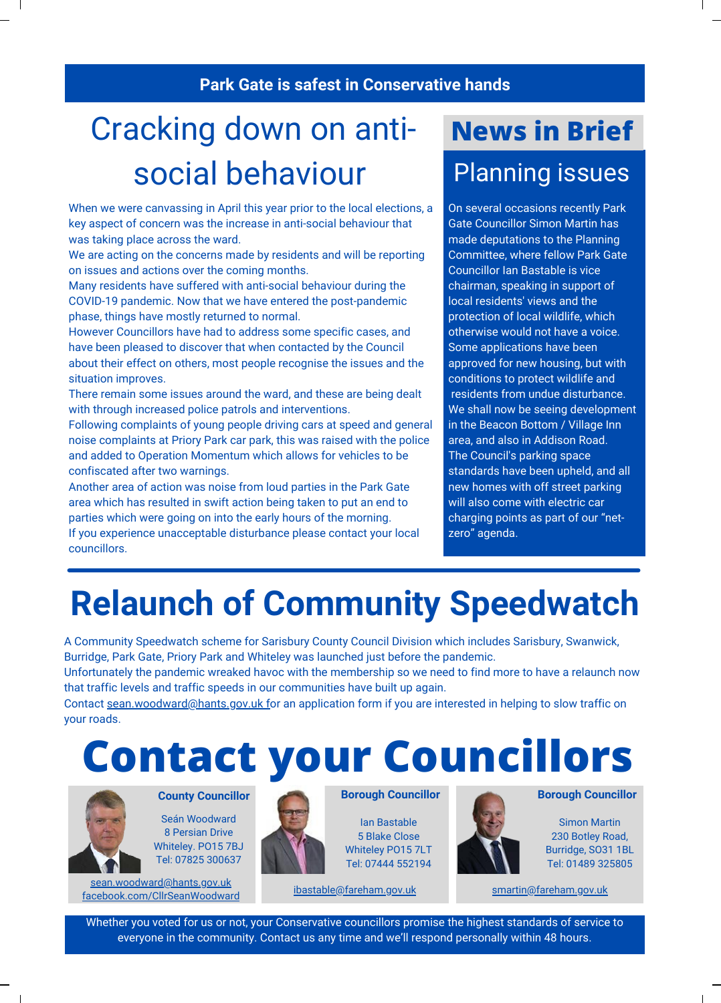#### A U G U S T 2 2 , 2 0 1 9 V O L . 2 9 **Park Gate is safest in Conservative hands**

## Cracking down on anti- **News in Brief** social behaviour

When we were canvassing in April this year prior to the local elections, a key aspect of concern was the increase in anti-social behaviour that was taking place across the ward.

We are acting on the concerns made by residents and will be reporting on issues and actions over the coming months.

Many residents have suffered with anti-social behaviour during the COVID-19 pandemic. Now that we have entered the post-pandemic phase, things have mostly returned to normal.

However Councillors have had to address some specific cases, and have been pleased to discover that when contacted by the Council about their effect on others, most people recognise the issues and the situation improves.

There remain some issues around the ward, and these are being dealt with through increased police patrols and interventions.

Following complaints of young people driving cars at speed and general noise complaints at Priory Park car park, this was raised with the police and added to Operation Momentum which allows for vehicles to be confiscated after two warnings.

Another area of action was noise from loud parties in the Park Gate area which has resulted in swift action being taken to put an end to parties which were going on into the early hours of the morning. If you experience unacceptable disturbance please contact your local councillors.

# Planning issues

On several occasions recently Park Gate Councillor Simon Martin has made deputations to the Planning Committee, where fellow Park Gate Councillor Ian Bastable is vice chairman, speaking in support of local residents' views and the protection of local wildlife, which otherwise would not have a voice. Some applications have been approved for new housing, but with conditions to protect wildlife and residents from undue disturbance. We shall now be seeing development in the Beacon Bottom / Village Inn area, and also in Addison Road. The Council's parking space standards have been upheld, and all new homes with off street parking will also come with electric car charging points as part of our "netzero" agenda.

## **Relaunch of Community Speedwatch**

A Community Speedwatch scheme for Sarisbury County Council Division which includes Sarisbury, Swanwick, Burridge, Park Gate, Priory Park and Whiteley was launched just before the pandemic.

Unfortunately the pandemic wreaked havoc with the membership so we need to find more to have a relaunch now that traffic levels and traffic speeds in our communities have built up again.

Contact [sean.woodward@hants.gov.uk fo](mailto:sean.woodward@hants.gov.uk)r an application form if you are interested in helping to slow traffic on your roads.

## **Contact your Councillors**



Seán Woodward 8 Persian Drive Whiteley. PO15 7BJ Tel: 07825 300637

[sean.woodward@hants.gov.uk](mailto:swoodward@fareham.gov.uk) [facebook.com/CllrSeanWoodward](https://www.facebook.com/CllrSeanWoodward)



**Borough Councillor**

Ian Bastable 5 Blake Close Whiteley PO15 7LT Tel: 07444 552194

[ibastable@fareham.gov.uk](mailto:ibastable@fareham.gov.uk) [smartin@fareham.gov.uk](mailto:smartin@fareham.gov.uk)



**County Councillor <b>Borough Councillor Borough Councillor Borough Councillor** 

Simon Martin 230 Botley Road, Burridge, SO31 1BL Tel: 01489 325805

Whether you voted for us or not, your Conservative councillors promise the highest standards of service to everyone in the community. Contact us any time and we'll respond personally within 48 hours.